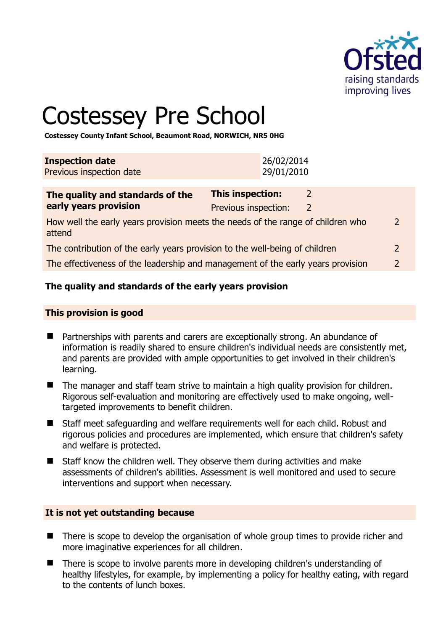

# Costessey Pre School

**Costessey County Infant School, Beaumont Road, NORWICH, NR5 0HG** 

| <b>Inspection date</b><br>Previous inspection date | 26/02/2014<br>29/01/2010 |  |
|----------------------------------------------------|--------------------------|--|
| The quality and standards of the                   | <b>This inspection:</b>  |  |
| early vears provision                              | Dravious inconstion:     |  |

| Carry years provision                                                                     | PIEVIOUS INSPECTION. |                |
|-------------------------------------------------------------------------------------------|----------------------|----------------|
| How well the early years provision meets the needs of the range of children who<br>attend |                      | $\overline{2}$ |
| The contribution of the early years provision to the well-being of children               |                      |                |

The effectiveness of the leadership and management of the early years provision 2

# **The quality and standards of the early years provision**

#### **This provision is good**

- Partnerships with parents and carers are exceptionally strong. An abundance of information is readily shared to ensure children's individual needs are consistently met, and parents are provided with ample opportunities to get involved in their children's learning.
- The manager and staff team strive to maintain a high quality provision for children. Rigorous self-evaluation and monitoring are effectively used to make ongoing, welltargeted improvements to benefit children.
- Staff meet safeguarding and welfare requirements well for each child. Robust and rigorous policies and procedures are implemented, which ensure that children's safety and welfare is protected.
- Staff know the children well. They observe them during activities and make assessments of children's abilities. Assessment is well monitored and used to secure interventions and support when necessary.

# **It is not yet outstanding because**

- There is scope to develop the organisation of whole group times to provide richer and more imaginative experiences for all children.
- There is scope to involve parents more in developing children's understanding of healthy lifestyles, for example, by implementing a policy for healthy eating, with regard to the contents of lunch boxes.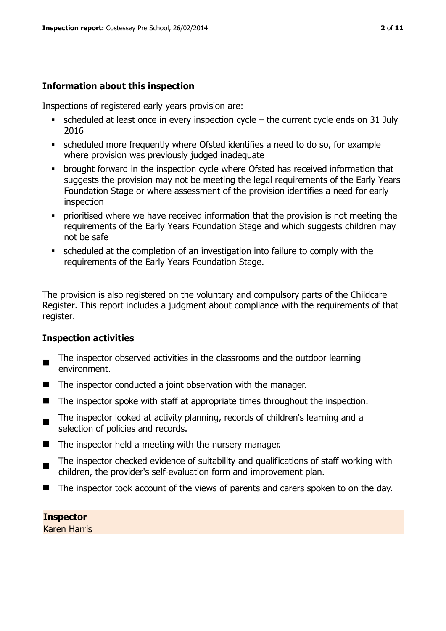#### **Information about this inspection**

Inspections of registered early years provision are:

- $\bullet$  scheduled at least once in every inspection cycle the current cycle ends on 31 July 2016
- scheduled more frequently where Ofsted identifies a need to do so, for example where provision was previously judged inadequate
- **•** brought forward in the inspection cycle where Ofsted has received information that suggests the provision may not be meeting the legal requirements of the Early Years Foundation Stage or where assessment of the provision identifies a need for early inspection
- **•** prioritised where we have received information that the provision is not meeting the requirements of the Early Years Foundation Stage and which suggests children may not be safe
- scheduled at the completion of an investigation into failure to comply with the requirements of the Early Years Foundation Stage.

The provision is also registered on the voluntary and compulsory parts of the Childcare Register. This report includes a judgment about compliance with the requirements of that register.

#### **Inspection activities**

- The inspector observed activities in the classrooms and the outdoor learning environment.
- $\blacksquare$  The inspector conducted a joint observation with the manager.
- $\blacksquare$  The inspector spoke with staff at appropriate times throughout the inspection.
- $\blacksquare$ The inspector looked at activity planning, records of children's learning and a selection of policies and records.
- $\blacksquare$  The inspector held a meeting with the nursery manager.
- The inspector checked evidence of suitability and qualifications of staff working with children, the provider's self-evaluation form and improvement plan.
- The inspector took account of the views of parents and carers spoken to on the day.

**Inspector**  Karen Harris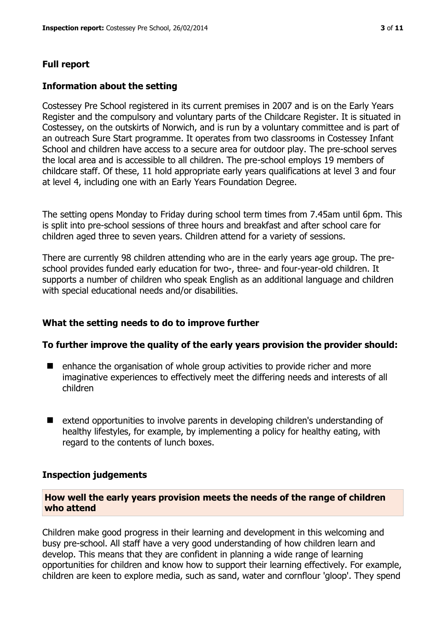#### **Full report**

#### **Information about the setting**

Costessey Pre School registered in its current premises in 2007 and is on the Early Years Register and the compulsory and voluntary parts of the Childcare Register. It is situated in Costessey, on the outskirts of Norwich, and is run by a voluntary committee and is part of an outreach Sure Start programme. It operates from two classrooms in Costessey Infant School and children have access to a secure area for outdoor play. The pre-school serves the local area and is accessible to all children. The pre-school employs 19 members of childcare staff. Of these, 11 hold appropriate early years qualifications at level 3 and four at level 4, including one with an Early Years Foundation Degree.

The setting opens Monday to Friday during school term times from 7.45am until 6pm. This is split into pre-school sessions of three hours and breakfast and after school care for children aged three to seven years. Children attend for a variety of sessions.

There are currently 98 children attending who are in the early years age group. The preschool provides funded early education for two-, three- and four-year-old children. It supports a number of children who speak English as an additional language and children with special educational needs and/or disabilities.

#### **What the setting needs to do to improve further**

#### **To further improve the quality of the early years provision the provider should:**

- enhance the organisation of whole group activities to provide richer and more imaginative experiences to effectively meet the differing needs and interests of all children
- extend opportunities to involve parents in developing children's understanding of healthy lifestyles, for example, by implementing a policy for healthy eating, with regard to the contents of lunch boxes.

#### **Inspection judgements**

#### **How well the early years provision meets the needs of the range of children who attend**

Children make good progress in their learning and development in this welcoming and busy pre-school. All staff have a very good understanding of how children learn and develop. This means that they are confident in planning a wide range of learning opportunities for children and know how to support their learning effectively. For example, children are keen to explore media, such as sand, water and cornflour 'gloop'. They spend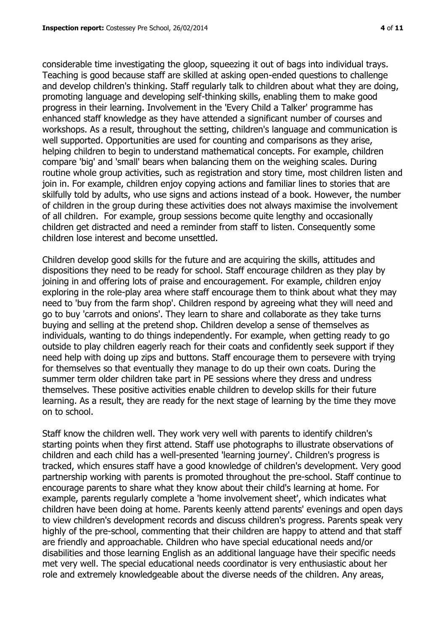considerable time investigating the gloop, squeezing it out of bags into individual trays. Teaching is good because staff are skilled at asking open-ended questions to challenge and develop children's thinking. Staff regularly talk to children about what they are doing, promoting language and developing self-thinking skills, enabling them to make good progress in their learning. Involvement in the 'Every Child a Talker' programme has enhanced staff knowledge as they have attended a significant number of courses and workshops. As a result, throughout the setting, children's language and communication is well supported. Opportunities are used for counting and comparisons as they arise, helping children to begin to understand mathematical concepts. For example, children compare 'big' and 'small' bears when balancing them on the weighing scales. During routine whole group activities, such as registration and story time, most children listen and join in. For example, children enjoy copying actions and familiar lines to stories that are skilfully told by adults, who use signs and actions instead of a book. However, the number of children in the group during these activities does not always maximise the involvement of all children. For example, group sessions become quite lengthy and occasionally children get distracted and need a reminder from staff to listen. Consequently some children lose interest and become unsettled.

Children develop good skills for the future and are acquiring the skills, attitudes and dispositions they need to be ready for school. Staff encourage children as they play by joining in and offering lots of praise and encouragement. For example, children enjoy exploring in the role-play area where staff encourage them to think about what they may need to 'buy from the farm shop'. Children respond by agreeing what they will need and go to buy 'carrots and onions'. They learn to share and collaborate as they take turns buying and selling at the pretend shop. Children develop a sense of themselves as individuals, wanting to do things independently. For example, when getting ready to go outside to play children eagerly reach for their coats and confidently seek support if they need help with doing up zips and buttons. Staff encourage them to persevere with trying for themselves so that eventually they manage to do up their own coats. During the summer term older children take part in PE sessions where they dress and undress themselves. These positive activities enable children to develop skills for their future learning. As a result, they are ready for the next stage of learning by the time they move on to school.

Staff know the children well. They work very well with parents to identify children's starting points when they first attend. Staff use photographs to illustrate observations of children and each child has a well-presented 'learning journey'. Children's progress is tracked, which ensures staff have a good knowledge of children's development. Very good partnership working with parents is promoted throughout the pre-school. Staff continue to encourage parents to share what they know about their child's learning at home. For example, parents regularly complete a 'home involvement sheet', which indicates what children have been doing at home. Parents keenly attend parents' evenings and open days to view children's development records and discuss children's progress. Parents speak very highly of the pre-school, commenting that their children are happy to attend and that staff are friendly and approachable. Children who have special educational needs and/or disabilities and those learning English as an additional language have their specific needs met very well. The special educational needs coordinator is very enthusiastic about her role and extremely knowledgeable about the diverse needs of the children. Any areas,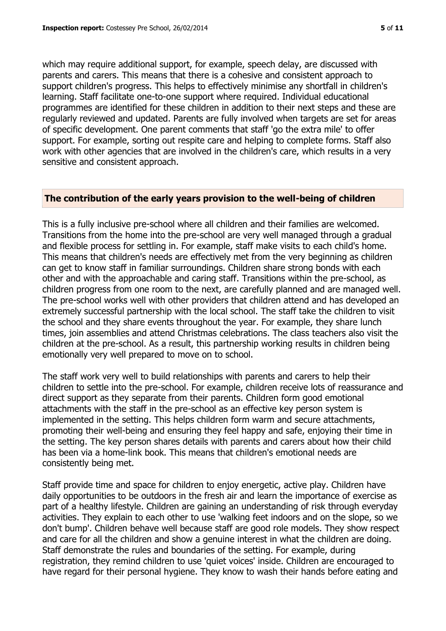which may require additional support, for example, speech delay, are discussed with parents and carers. This means that there is a cohesive and consistent approach to support children's progress. This helps to effectively minimise any shortfall in children's learning. Staff facilitate one-to-one support where required. Individual educational programmes are identified for these children in addition to their next steps and these are regularly reviewed and updated. Parents are fully involved when targets are set for areas of specific development. One parent comments that staff 'go the extra mile' to offer support. For example, sorting out respite care and helping to complete forms. Staff also work with other agencies that are involved in the children's care, which results in a very sensitive and consistent approach.

#### **The contribution of the early years provision to the well-being of children**

This is a fully inclusive pre-school where all children and their families are welcomed. Transitions from the home into the pre-school are very well managed through a gradual and flexible process for settling in. For example, staff make visits to each child's home. This means that children's needs are effectively met from the very beginning as children can get to know staff in familiar surroundings. Children share strong bonds with each other and with the approachable and caring staff. Transitions within the pre-school, as children progress from one room to the next, are carefully planned and are managed well. The pre-school works well with other providers that children attend and has developed an extremely successful partnership with the local school. The staff take the children to visit the school and they share events throughout the year. For example, they share lunch times, join assemblies and attend Christmas celebrations. The class teachers also visit the children at the pre-school. As a result, this partnership working results in children being emotionally very well prepared to move on to school.

The staff work very well to build relationships with parents and carers to help their children to settle into the pre-school. For example, children receive lots of reassurance and direct support as they separate from their parents. Children form good emotional attachments with the staff in the pre-school as an effective key person system is implemented in the setting. This helps children form warm and secure attachments, promoting their well-being and ensuring they feel happy and safe, enjoying their time in the setting. The key person shares details with parents and carers about how their child has been via a home-link book. This means that children's emotional needs are consistently being met.

Staff provide time and space for children to enjoy energetic, active play. Children have daily opportunities to be outdoors in the fresh air and learn the importance of exercise as part of a healthy lifestyle. Children are gaining an understanding of risk through everyday activities. They explain to each other to use 'walking feet indoors and on the slope, so we don't bump'. Children behave well because staff are good role models. They show respect and care for all the children and show a genuine interest in what the children are doing. Staff demonstrate the rules and boundaries of the setting. For example, during registration, they remind children to use 'quiet voices' inside. Children are encouraged to have regard for their personal hygiene. They know to wash their hands before eating and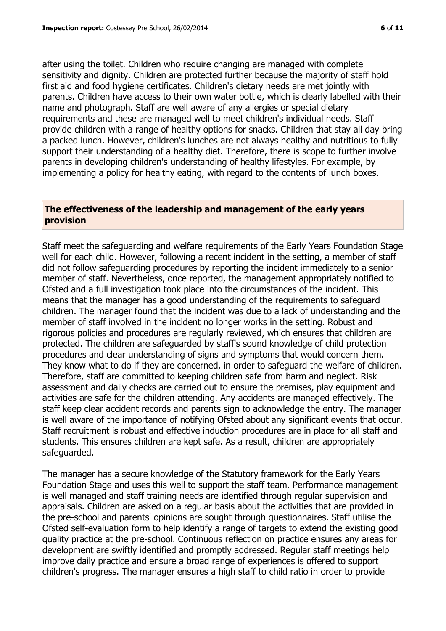after using the toilet. Children who require changing are managed with complete sensitivity and dignity. Children are protected further because the majority of staff hold first aid and food hygiene certificates. Children's dietary needs are met jointly with parents. Children have access to their own water bottle, which is clearly labelled with their name and photograph. Staff are well aware of any allergies or special dietary requirements and these are managed well to meet children's individual needs. Staff provide children with a range of healthy options for snacks. Children that stay all day bring a packed lunch. However, children's lunches are not always healthy and nutritious to fully support their understanding of a healthy diet. Therefore, there is scope to further involve parents in developing children's understanding of healthy lifestyles. For example, by implementing a policy for healthy eating, with regard to the contents of lunch boxes.

#### **The effectiveness of the leadership and management of the early years provision**

Staff meet the safeguarding and welfare requirements of the Early Years Foundation Stage well for each child. However, following a recent incident in the setting, a member of staff did not follow safeguarding procedures by reporting the incident immediately to a senior member of staff. Nevertheless, once reported, the management appropriately notified to Ofsted and a full investigation took place into the circumstances of the incident. This means that the manager has a good understanding of the requirements to safeguard children. The manager found that the incident was due to a lack of understanding and the member of staff involved in the incident no longer works in the setting. Robust and rigorous policies and procedures are regularly reviewed, which ensures that children are protected. The children are safeguarded by staff's sound knowledge of child protection procedures and clear understanding of signs and symptoms that would concern them. They know what to do if they are concerned, in order to safeguard the welfare of children. Therefore, staff are committed to keeping children safe from harm and neglect. Risk assessment and daily checks are carried out to ensure the premises, play equipment and activities are safe for the children attending. Any accidents are managed effectively. The staff keep clear accident records and parents sign to acknowledge the entry. The manager is well aware of the importance of notifying Ofsted about any significant events that occur. Staff recruitment is robust and effective induction procedures are in place for all staff and students. This ensures children are kept safe. As a result, children are appropriately safeguarded.

The manager has a secure knowledge of the Statutory framework for the Early Years Foundation Stage and uses this well to support the staff team. Performance management is well managed and staff training needs are identified through regular supervision and appraisals. Children are asked on a regular basis about the activities that are provided in the pre-school and parents' opinions are sought through questionnaires. Staff utilise the Ofsted self-evaluation form to help identify a range of targets to extend the existing good quality practice at the pre-school. Continuous reflection on practice ensures any areas for development are swiftly identified and promptly addressed. Regular staff meetings help improve daily practice and ensure a broad range of experiences is offered to support children's progress. The manager ensures a high staff to child ratio in order to provide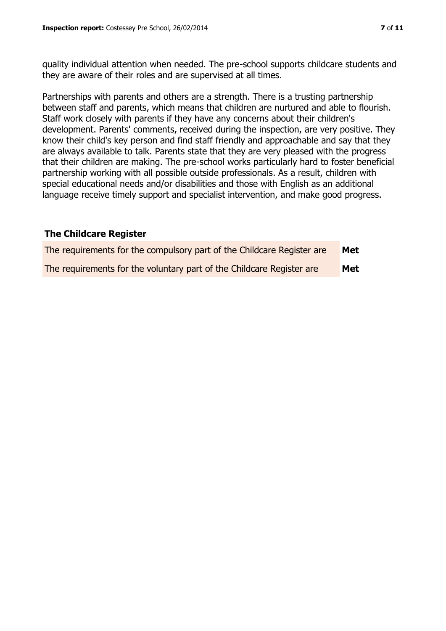quality individual attention when needed. The pre-school supports childcare students and they are aware of their roles and are supervised at all times.

Partnerships with parents and others are a strength. There is a trusting partnership between staff and parents, which means that children are nurtured and able to flourish. Staff work closely with parents if they have any concerns about their children's development. Parents' comments, received during the inspection, are very positive. They know their child's key person and find staff friendly and approachable and say that they are always available to talk. Parents state that they are very pleased with the progress that their children are making. The pre-school works particularly hard to foster beneficial partnership working with all possible outside professionals. As a result, children with special educational needs and/or disabilities and those with English as an additional language receive timely support and specialist intervention, and make good progress.

#### **The Childcare Register**

| The requirements for the compulsory part of the Childcare Register are | Met        |
|------------------------------------------------------------------------|------------|
| The requirements for the voluntary part of the Childcare Register are  | <b>Met</b> |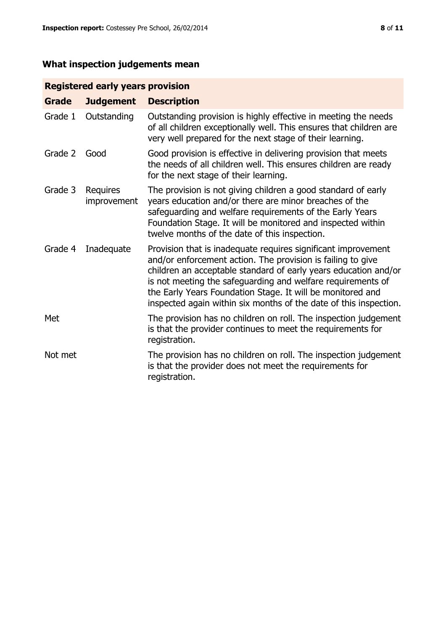# **What inspection judgements mean**

# **Registered early years provision**

| <b>Grade</b> | <b>Judgement</b>               | <b>Description</b>                                                                                                                                                                                                                                                                                                                                                                                |
|--------------|--------------------------------|---------------------------------------------------------------------------------------------------------------------------------------------------------------------------------------------------------------------------------------------------------------------------------------------------------------------------------------------------------------------------------------------------|
| Grade 1      | Outstanding                    | Outstanding provision is highly effective in meeting the needs<br>of all children exceptionally well. This ensures that children are<br>very well prepared for the next stage of their learning.                                                                                                                                                                                                  |
| Grade 2      | Good                           | Good provision is effective in delivering provision that meets<br>the needs of all children well. This ensures children are ready<br>for the next stage of their learning.                                                                                                                                                                                                                        |
| Grade 3      | <b>Requires</b><br>improvement | The provision is not giving children a good standard of early<br>years education and/or there are minor breaches of the<br>safeguarding and welfare requirements of the Early Years<br>Foundation Stage. It will be monitored and inspected within<br>twelve months of the date of this inspection.                                                                                               |
| Grade 4      | Inadequate                     | Provision that is inadequate requires significant improvement<br>and/or enforcement action. The provision is failing to give<br>children an acceptable standard of early years education and/or<br>is not meeting the safeguarding and welfare requirements of<br>the Early Years Foundation Stage. It will be monitored and<br>inspected again within six months of the date of this inspection. |
| Met          |                                | The provision has no children on roll. The inspection judgement<br>is that the provider continues to meet the requirements for<br>registration.                                                                                                                                                                                                                                                   |
| Not met      |                                | The provision has no children on roll. The inspection judgement<br>is that the provider does not meet the requirements for<br>registration.                                                                                                                                                                                                                                                       |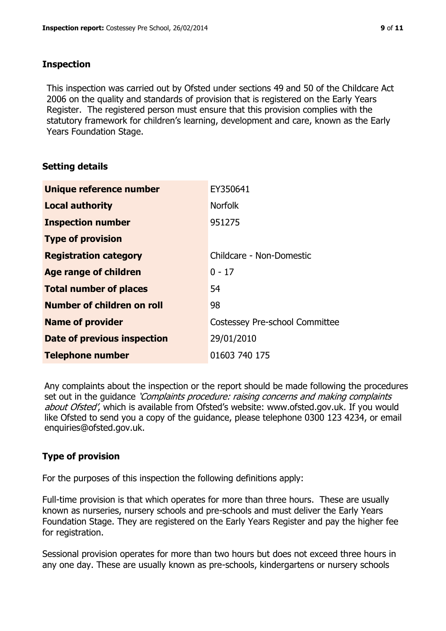### **Inspection**

This inspection was carried out by Ofsted under sections 49 and 50 of the Childcare Act 2006 on the quality and standards of provision that is registered on the Early Years Register. The registered person must ensure that this provision complies with the statutory framework for children's learning, development and care, known as the Early Years Foundation Stage.

# **Setting details**

| Unique reference number       | EY350641                       |  |
|-------------------------------|--------------------------------|--|
| <b>Local authority</b>        | <b>Norfolk</b>                 |  |
| <b>Inspection number</b>      | 951275                         |  |
| <b>Type of provision</b>      |                                |  |
| <b>Registration category</b>  | Childcare - Non-Domestic       |  |
| Age range of children         | $0 - 17$                       |  |
| <b>Total number of places</b> | 54                             |  |
| Number of children on roll    | 98                             |  |
| <b>Name of provider</b>       | Costessey Pre-school Committee |  |
| Date of previous inspection   | 29/01/2010                     |  |
| <b>Telephone number</b>       | 01603 740 175                  |  |

Any complaints about the inspection or the report should be made following the procedures set out in the guidance *'Complaints procedure: raising concerns and making complaints* about Ofsted', which is available from Ofsted's website: www.ofsted.gov.uk. If you would like Ofsted to send you a copy of the guidance, please telephone 0300 123 4234, or email enquiries@ofsted.gov.uk.

# **Type of provision**

For the purposes of this inspection the following definitions apply:

Full-time provision is that which operates for more than three hours. These are usually known as nurseries, nursery schools and pre-schools and must deliver the Early Years Foundation Stage. They are registered on the Early Years Register and pay the higher fee for registration.

Sessional provision operates for more than two hours but does not exceed three hours in any one day. These are usually known as pre-schools, kindergartens or nursery schools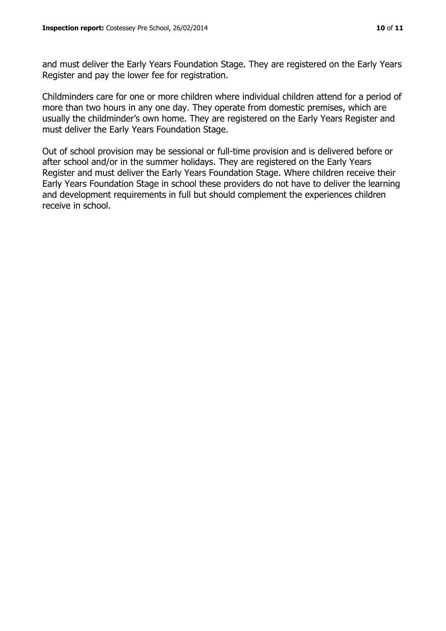and must deliver the Early Years Foundation Stage. They are registered on the Early Years Register and pay the lower fee for registration.

Childminders care for one or more children where individual children attend for a period of more than two hours in any one day. They operate from domestic premises, which are usually the childminder's own home. They are registered on the Early Years Register and must deliver the Early Years Foundation Stage.

Out of school provision may be sessional or full-time provision and is delivered before or after school and/or in the summer holidays. They are registered on the Early Years Register and must deliver the Early Years Foundation Stage. Where children receive their Early Years Foundation Stage in school these providers do not have to deliver the learning and development requirements in full but should complement the experiences children receive in school.